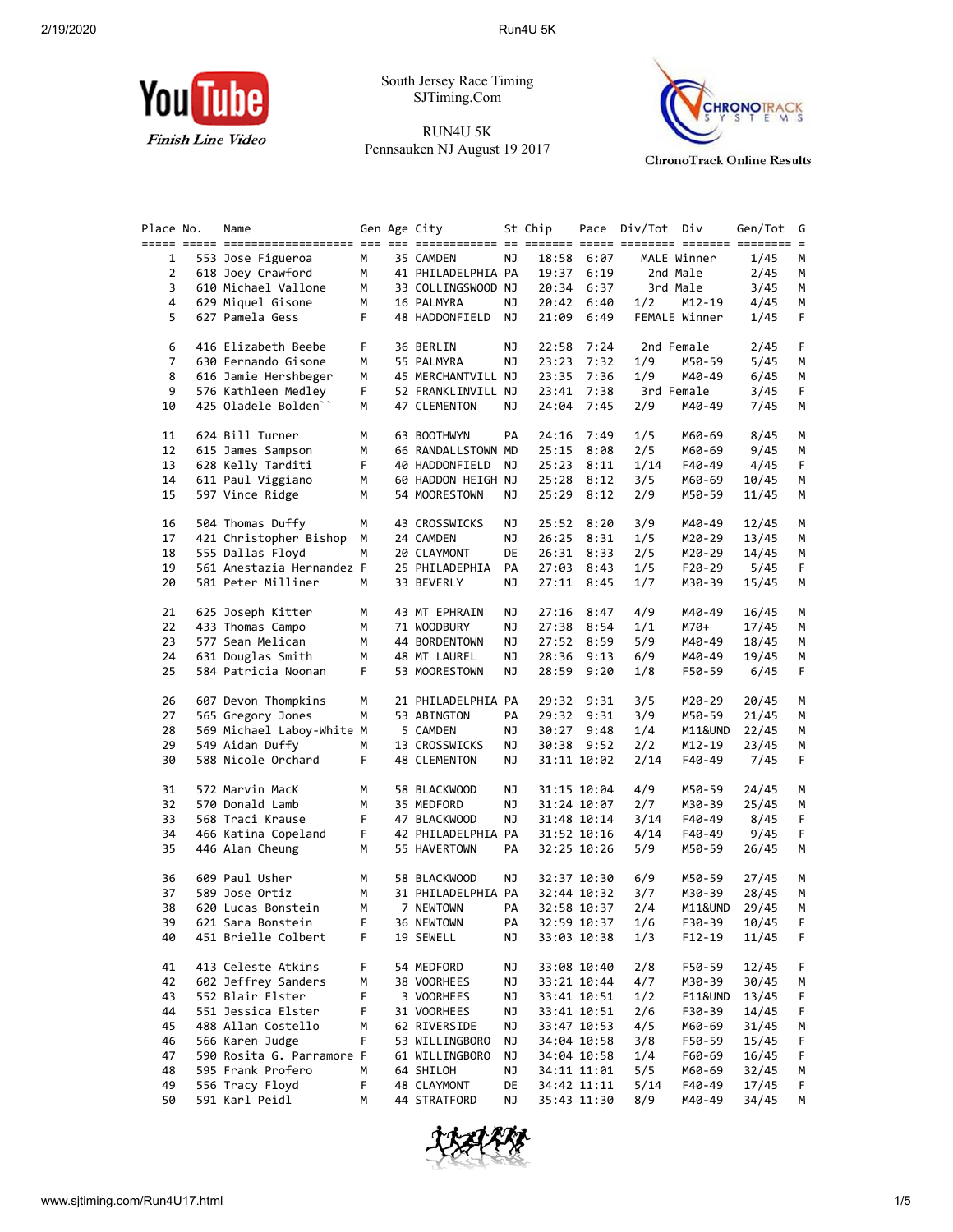

South Jersey Race Timing SJTiming.Com

RUN4U 5K Pennsauken NJ August 19 2017



**ChronoTrack Online Results** 

| Place No.      | Name                                     |        | Gen Age City                  |          | St Chip |                            | Pace Div/Tot Div |                  | Gen/Tot        |
|----------------|------------------------------------------|--------|-------------------------------|----------|---------|----------------------------|------------------|------------------|----------------|
|                |                                          |        |                               |          |         |                            |                  |                  |                |
| 1              | 553 Jose Figueroa                        | M      | 35 CAMDEN                     | ΝJ       |         | 18:58 6:07                 |                  | MALE Winner      | 1/45           |
| $\overline{2}$ | 618 Joey Crawford                        | M      | 41 PHILADELPHIA PA            |          | 19:37   | 6:19                       |                  | 2nd Male         | 2/45           |
| 3              | 610 Michael Vallone                      | м      | 33 COLLINGSWOOD NJ            |          | 20:34   | 6:37                       |                  | 3rd Male         | 3/45           |
| 4              | 629 Miquel Gisone                        | М      | 16 PALMYRA                    | NJ       |         | 20:42 6:40                 | 1/2              | M12-19           | 4/45           |
| 5              | 627 Pamela Gess                          | F.     | 48 HADDONFIELD                | NJ       | 21:09   | 6:49                       |                  | FEMALE Winner    | 1/45           |
| 6              | 416 Elizabeth Beebe                      | F      | 36 BERLIN                     | ΝJ       |         | 22:58 7:24                 |                  | 2nd Female       | 2/45           |
| 7              | 630 Fernando Gisone                      | м      | 55 PALMYRA                    | ΝJ       | 23:23   | 7:32                       | 1/9              | M50-59           | 5/45           |
| 8              | 616 Jamie Hershbeger                     | М      | 45 MERCHANTVILL NJ            |          | 23:35   | 7:36                       | 1/9              | M40-49           | 6/45           |
| 9              | 576 Kathleen Medley                      | F.     | 52 FRANKLINVILL NJ            |          |         | 23:41 7:38                 |                  | 3rd Female       | 3/45           |
| 10             | 425 Oladele Bolden"                      | М      | 47 CLEMENTON                  | ΝJ       | 24:04   | 7:45                       | 2/9              | M40-49           | 7/45           |
| 11             | 624 Bill Turner                          | М      | 63 BOOTHWYN                   | PA       | 24:16   | 7:49                       | 1/5              | M60-69           | 8/45           |
| 12             | 615 James Sampson                        | М      | 66 RANDALLSTOWN MD            |          | 25:15   | 8:08                       | 2/5              | M60-69           | 9/45           |
| 13             | 628 Kelly Tarditi                        | F.     | 40 HADDONFIELD                | NJ       | 25:23   | 8:11                       | 1/14             | F40-49           | 4/45           |
| 14             | 611 Paul Viggiano                        | М      | 60 HADDON HEIGH NJ            |          |         | 25:28 8:12                 | 3/5              | M60-69           | 10/45          |
| 15             | 597 Vince Ridge                          | M      | 54 MOORESTOWN                 | ΝJ       |         | 25:29 8:12                 | 2/9              | M50-59           | 11/45          |
| 16             | 504 Thomas Duffy                         | м      | 43 CROSSWICKS                 | ΝJ       |         | 25:52 8:20                 | 3/9              | M40-49           | 12/45          |
| 17             | 421 Christopher Bishop                   | M      | 24 CAMDEN                     | ΝJ       | 26:25   | 8:31                       | 1/5              | M20-29           | 13/45          |
| 18             | 555 Dallas Floyd                         | М      | 20 CLAYMONT                   | DE       |         | 26:31 8:33                 | 2/5              | M20-29           | 14/45          |
| 19             | 561 Anestazia Hernandez F                |        | 25 PHILADEPHIA                | PA       |         | 27:03 8:43                 | 1/5              | F20-29           | 5/45           |
| 20             | 581 Peter Milliner                       | M      | 33 BEVERLY                    | ΝJ       | 27:11   | 8:45                       | 1/7              | M30-39           | 15/45          |
| 21             | 625 Joseph Kitter                        | М      | 43 MT EPHRAIN                 | ΝJ       | 27:16   | 8:47                       | 4/9              | M40-49           | 16/45          |
| 22             |                                          | М      |                               | ΝJ       |         | 8:54                       |                  | M70+             |                |
| 23             | 433 Thomas Campo<br>577 Sean Melican     | М      | 71 WOODBURY<br>44 BORDENTOWN  |          | 27:38   | 27:52 8:59                 | 1/1              |                  | 17/45          |
| 24             |                                          | М      |                               | ΝJ<br>ΝJ |         | 28:36 9:13                 | 5/9              | M40-49           | 18/45          |
| 25             | 631 Douglas Smith<br>584 Patricia Noonan | F.     | 48 MT LAUREL<br>53 MOORESTOWN | ΝJ       | 28:59   | 9:20                       | 6/9<br>1/8       | M40-49<br>F50-59 | 19/45<br>6/45  |
|                |                                          |        |                               |          |         |                            |                  |                  |                |
| 26             | 607 Devon Thompkins                      | М      | 21 PHILADELPHIA PA            |          |         | 29:32 9:31                 | 3/5              | M20-29           | 20/45          |
| 27             | 565 Gregory Jones                        | М      | 53 ABINGTON                   | PA       |         | 29:32 9:31                 | 3/9              | M50-59           | 21/45          |
| 28             | 569 Michael Laboy-White M                |        | 5 CAMDEN                      | ΝJ       |         | 30:27 9:48                 | 1/4              | M11&UND          | 22/45          |
| 29             | 549 Aidan Duffy                          | М      | 13 CROSSWICKS                 | ΝJ       |         | 30:38 9:52                 | 2/2              | M12-19           | 23/45          |
| 30             | 588 Nicole Orchard                       | F.     | 48 CLEMENTON                  | ΝJ       |         | 31:11 10:02                | 2/14             | F40-49           | 7/45           |
| 31             | 572 Marvin MacK                          | М      | 58 BLACKWOOD                  | ΝJ       |         | 31:15 10:04                | 4/9              | M50-59           | 24/45          |
| 32             | 570 Donald Lamb                          | М      | 35 MEDFORD                    | NJ       |         | 31:24 10:07                | 2/7              | M30-39           | 25/45          |
| 33             | 568 Traci Krause                         | F      | 47 BLACKWOOD                  | ΝJ       |         | 31:48 10:14                | 3/14             | F40-49           | 8/45           |
| 34             | 466 Katina Copeland                      | F.     | 42 PHILADELPHIA PA            |          |         | 31:52 10:16                | 4/14             | F40-49           | 9/45           |
| 35             | 446 Alan Cheung                          | М      | 55 HAVERTOWN                  | PA       |         | 32:25 10:26                | 5/9              | M50-59           | 26/45          |
| 36             | 609 Paul Usher                           | М      | 58 BLACKWOOD                  | ΝJ       |         | 32:37 10:30                | 6/9              | M50-59           | 27/45          |
| 37             | 589 Jose Ortiz                           | M      | 31 PHILADELPHIA PA            |          |         | 32:44 10:32                | 3/7              | M30-39           | 28/45          |
| 38             | 620 Lucas Bonstein                       | м      | 7 NEWTOWN                     | PA       |         | 32:58 10:37                | 2/4              | M11&UND          | 29/45          |
| 39             | 621 Sara Bonstein                        |        | 36 NEWTOWN                    | PA       |         | 32:59 10:37                | 1/6              | F30-39           | 10/45          |
| 40             | 451 Brielle Colbert                      | F      | 19 SEWELL                     | ΝJ       |         | 33:03 10:38                | 1/3              | $F12 - 19$       | 11/45          |
| 41             | 413 Celeste Atkins                       | F.     | 54 MEDFORD                    | ΝJ       |         | 33:08 10:40                | 2/8              | F50-59           | 12/45          |
| 42             | 602 Jeffrey Sanders                      | м      | 38 VOORHEES                   | ΝJ       |         | 33:21 10:44                | 4/7              | M30-39           | 30/45          |
| 43             | 552 Blair Elster                         | F      | 3 VOORHEES                    | ΝJ       |         | 33:41 10:51                | 1/2              | F11&UND          | 13/45          |
| 44             | 551 Jessica Elster                       | F      | 31 VOORHEES                   | ΝJ       |         | 33:41 10:51                | 2/6              | F30-39           | 14/45          |
|                | 488 Allan Costello                       | М      | 62 RIVERSIDE                  | ΝJ       |         | 33:47 10:53                | 4/5              | M60-69           | 31/45          |
|                |                                          |        |                               | ΝJ       |         | 34:04 10:58                | 3/8              | F50-59           | 15/45          |
| 45             |                                          |        |                               |          |         |                            |                  |                  |                |
| 46             | 566 Karen Judge                          | F      | 53 WILLINGBORO                |          |         |                            |                  |                  |                |
| 47             | 590 Rosita G. Parramore F                |        | 61 WILLINGBORO                | ΝJ       |         | 34:04 10:58                | 1/4              | F60-69           | 16/45          |
| 48<br>49       | 595 Frank Profero<br>556 Tracy Floyd     | м<br>F | 64 SHILOH<br>48 CLAYMONT      | ΝJ<br>DE |         | 34:11 11:01<br>34:42 11:11 | 5/5<br>5/14      | M60-69<br>F40-49 | 32/45<br>17/45 |

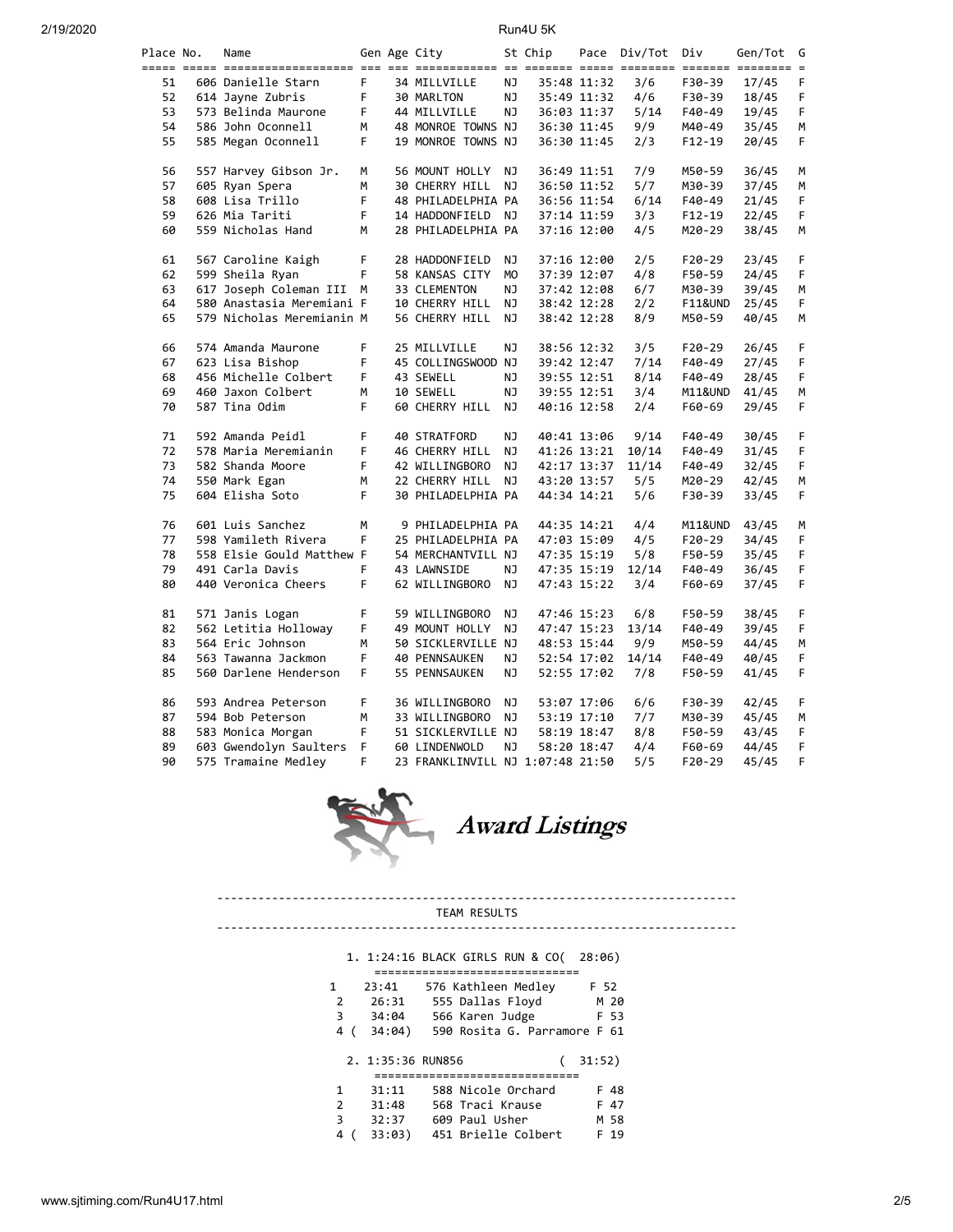| Place No. | Name                      |    | Gen Age City                     |     | St Chip |             | Pace Div/Tot | Div        | Gen/Tot | G |
|-----------|---------------------------|----|----------------------------------|-----|---------|-------------|--------------|------------|---------|---|
|           |                           |    |                                  |     |         |             |              |            |         |   |
| 51        | 606 Danielle Starn        | F. | 34 MILLVILLE                     | NJ  |         | 35:48 11:32 | 3/6          | F30-39     | 17/45   | F |
| 52        | 614 Jayne Zubris          | F  | 30 MARLTON                       | NJ  |         | 35:49 11:32 | 4/6          | F30-39     | 18/45   | F |
| 53        | 573 Belinda Maurone       | F  | 44 MILLVILLE                     | NJ  |         | 36:03 11:37 | 5/14         | F40-49     | 19/45   | F |
| 54        | 586 John Oconnell         | м  | 48 MONROE TOWNS NJ               |     |         | 36:30 11:45 | 9/9          | M40-49     | 35/45   | М |
| 55        | 585 Megan Oconnell        | F. | 19 MONROE TOWNS NJ               |     |         | 36:30 11:45 | 2/3          | $F12-19$   | 20/45   | F |
|           |                           |    |                                  |     |         |             |              |            |         |   |
| 56        | 557 Harvey Gibson Jr.     | М  | 56 MOUNT HOLLY                   | NJ  |         | 36:49 11:51 | 7/9          | M50-59     | 36/45   | М |
| 57        | 605 Ryan Spera            | м  | 30 CHERRY HILL                   | NJ  |         | 36:50 11:52 | 5/7          | M30-39     | 37/45   | М |
| 58        | 608 Lisa Trillo           | F  | 48 PHILADELPHIA PA               |     |         | 36:56 11:54 | 6/14         | F40-49     | 21/45   | F |
| 59        | 626 Mia Tariti            | F  | 14 HADDONFIELD NJ                |     |         | 37:14 11:59 | 3/3          | F12-19     | 22/45   | F |
| 60        | 559 Nicholas Hand         | М  | 28 PHILADELPHIA PA               |     |         | 37:16 12:00 | 4/5          | M20-29     | 38/45   | М |
|           |                           |    |                                  |     |         |             |              |            |         |   |
| 61        | 567 Caroline Kaigh        | F  | 28 HADDONFIELD                   | ΝJ  |         | 37:16 12:00 | 2/5          | $F20-29$   | 23/45   | F |
| 62        | 599 Sheila Ryan           | F  | 58 KANSAS CITY                   | MO  |         | 37:39 12:07 | 4/8          | F50-59     | 24/45   | F |
| 63        | 617 Joseph Coleman III    | M  | 33 CLEMENTON                     | NJ. |         | 37:42 12:08 | 6/7          | M30-39     | 39/45   | М |
| 64        | 580 Anastasia Meremiani F |    | 10 CHERRY HILL                   | NJ  |         | 38:42 12:28 | 2/2          | F11&UND    | 25/45   | F |
| 65        | 579 Nicholas Meremianin M |    | 56 CHERRY HILL                   | NJ  |         | 38:42 12:28 | 8/9          | M50-59     | 40/45   | М |
|           |                           |    |                                  |     |         |             |              |            |         |   |
| 66        | 574 Amanda Maurone        | F. | 25 MILLVILLE                     | NJ. |         | 38:56 12:32 | 3/5          | F20-29     | 26/45   | F |
| 67        | 623 Lisa Bishop           | F  | 45 COLLINGSWOOD NJ               |     |         | 39:42 12:47 | 7/14         | F40-49     | 27/45   | F |
| 68        | 456 Michelle Colbert      | F  | 43 SEWELL                        | ΝJ  |         | 39:55 12:51 | 8/14         | F40-49     | 28/45   | F |
| 69        | 460 Jaxon Colbert         | м  | 10 SEWELL                        | ΝJ  |         | 39:55 12:51 | 3/4          | M11&UND    | 41/45   | М |
| 70        | 587 Tina Odim             | F  | 60 CHERRY HILL NJ                |     |         | 40:16 12:58 | 2/4          | F60-69     | 29/45   | F |
|           |                           |    |                                  |     |         |             |              |            |         |   |
| 71        | 592 Amanda Peidl          | F  | 40 STRATFORD                     | ΝJ  |         | 40:41 13:06 | 9/14         | F40-49     | 30/45   | F |
| 72        | 578 Maria Meremianin      | F  | 46 CHERRY HILL                   | NJ  |         | 41:26 13:21 | 10/14        | F40-49     | 31/45   | F |
| 73        | 582 Shanda Moore          | F  | 42 WILLINGBORO                   | NJ  |         | 42:17 13:37 | 11/14        | F40-49     | 32/45   | F |
| 74        | 550 Mark Egan             | М  | 22 CHERRY HILL                   | ΝJ  |         | 43:20 13:57 | 5/5          | M20-29     | 42/45   | М |
| 75        | 604 Elisha Soto           | F  | 30 PHILADELPHIA PA               |     |         | 44:34 14:21 | 5/6          | F30-39     | 33/45   | F |
|           |                           |    |                                  |     |         |             |              |            |         |   |
| 76        | 601 Luis Sanchez          | м  |                                  |     |         |             | 4/4          |            |         |   |
| 77        | 598 Yamileth Rivera       | F  | 9 PHILADELPHIA PA                |     |         | 44:35 14:21 | 4/5          | M11&UND    | 43/45   | М |
|           |                           |    | 25 PHILADELPHIA PA               |     |         | 47:03 15:09 |              | F20-29     | 34/45   | F |
| 78        | 558 Elsie Gould Matthew F |    | 54 MERCHANTVILL NJ               |     |         | 47:35 15:19 | 5/8          | F50-59     | 35/45   | F |
| 79        | 491 Carla Davis           | F  | 43 LAWNSIDE                      | ΝJ  |         | 47:35 15:19 | 12/14        | F40-49     | 36/45   | F |
| 80        | 440 Veronica Cheers       | F. | 62 WILLINGBORO                   | NJ  |         | 47:43 15:22 | 3/4          | F60-69     | 37/45   | F |
|           |                           |    |                                  |     |         |             |              |            |         |   |
| 81        | 571 Janis Logan           | F  | 59 WILLINGBORO                   | ΝJ  |         | 47:46 15:23 | 6/8          | F50-59     | 38/45   | F |
| 82        | 562 Letitia Holloway      | F  | 49 MOUNT HOLLY                   | ΝJ  |         | 47:47 15:23 | 13/14        | F40-49     | 39/45   | F |
| 83        | 564 Eric Johnson          | M  | 50 SICKLERVILLE NJ               |     |         | 48:53 15:44 | 9/9          | M50-59     | 44/45   | М |
| 84        | 563 Tawanna Jackmon       | F  | <b>40 PENNSAUKEN</b>             | NJ  |         | 52:54 17:02 | 14/14        | F40-49     | 40/45   | F |
| 85        | 560 Darlene Henderson     | F. | 55 PENNSAUKEN                    | NJ  |         | 52:55 17:02 | 7/8          | F50-59     | 41/45   | F |
|           |                           |    |                                  |     |         |             |              |            |         |   |
| 86        | 593 Andrea Peterson       | F  | 36 WILLINGBORO                   | ΝJ  |         | 53:07 17:06 | 6/6          | F30-39     | 42/45   | F |
| 87        | 594 Bob Peterson          | м  | 33 WILLINGBORO                   | ΝJ  |         | 53:19 17:10 | 7/7          | M30-39     | 45/45   | М |
| 88        | 583 Monica Morgan         | F  | 51 SICKLERVILLE NJ               |     |         | 58:19 18:47 | 8/8          | F50-59     | 43/45   | F |
| 89        | 603 Gwendolyn Saulters    | F  | 60 LINDENWOLD                    | NJ. |         | 58:20 18:47 | 4/4          | F60-69     | 44/45   | F |
| 90        | 575 Tramaine Medley       | F  | 23 FRANKLINVILL NJ 1:07:48 21:50 |     |         |             | 5/5          | $F20 - 29$ | 45/45   | F |



#### ---------------------------------------------------------------------------- TEAM RESULTS

----------------------------------------------------------------------------

## 1. 1:24:16 BLACK GIRLS RUN & CO( 28:06)

| 1.            | 23:41             | 576 Kathleen Medley          | F 52   |  |  |  |  |  |  |  |  |
|---------------|-------------------|------------------------------|--------|--|--|--|--|--|--|--|--|
| $\mathcal{P}$ | 26:31             | 555 Dallas Floyd             | M 20   |  |  |  |  |  |  |  |  |
| 3             | 34:04             | 566 Karen Judge              | F 53   |  |  |  |  |  |  |  |  |
| 4             | 34:04)            | 590 Rosita G. Parramore F 61 |        |  |  |  |  |  |  |  |  |
|               |                   |                              |        |  |  |  |  |  |  |  |  |
|               | 2. 1:35:36 RUN856 |                              | 31:52) |  |  |  |  |  |  |  |  |
|               |                   |                              |        |  |  |  |  |  |  |  |  |
| 1             | 31:11             | 588 Nicole Orchard           | F 48   |  |  |  |  |  |  |  |  |
| $\mathcal{P}$ | 31:48             | 568 Traci Krause             | F 47   |  |  |  |  |  |  |  |  |
| З             | 32:37             | 609 Paul Usher               | M 58   |  |  |  |  |  |  |  |  |
| 4             | 33:03)            | 451 Brielle Colbert          | 19     |  |  |  |  |  |  |  |  |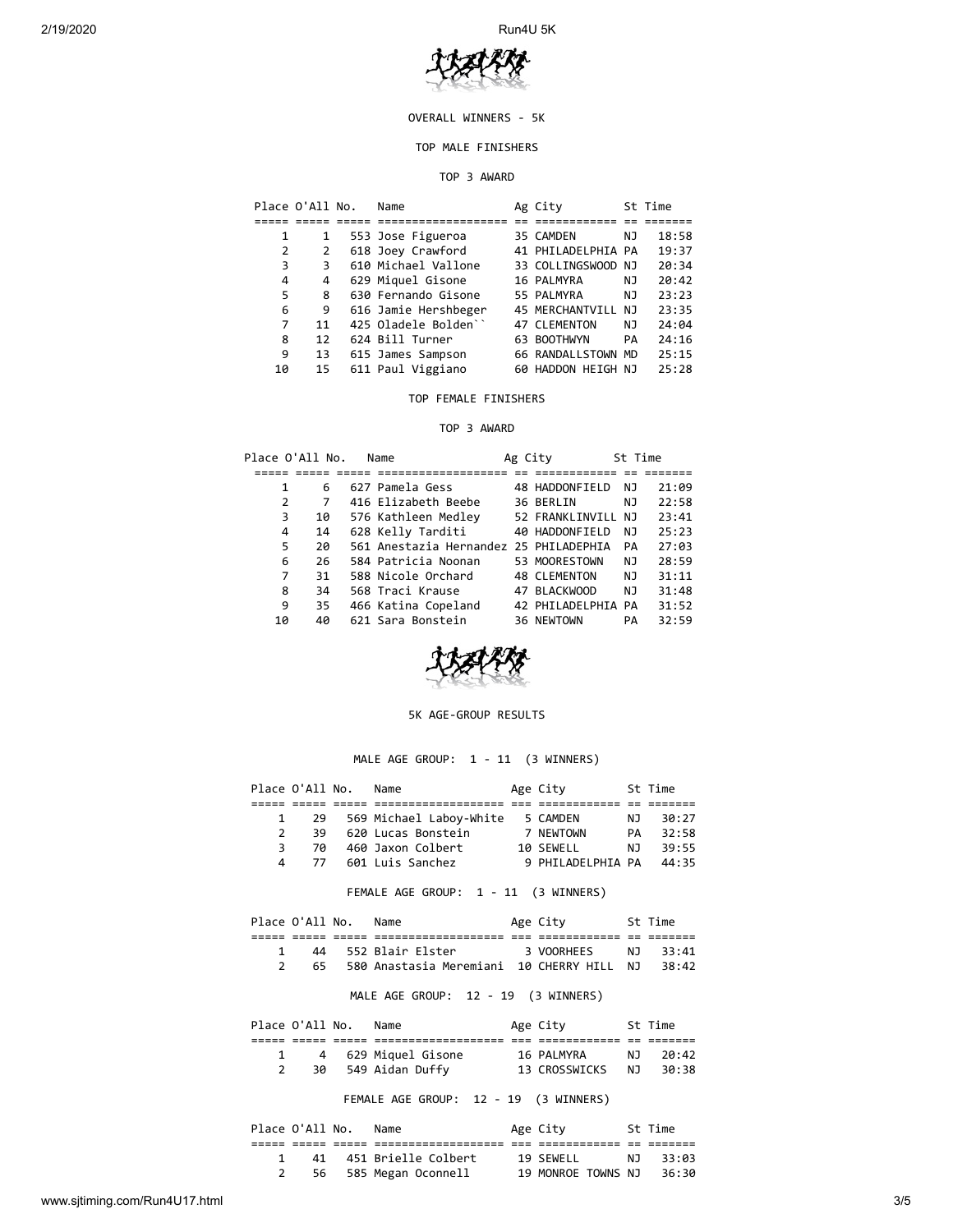2/19/2020 Run4U 5K



## OVERALL WINNERS - 5K

## TOP MALE FINISHERS

#### TOP 3 AWARD

|    | Place O'All No. | Name                 | Ag City            |    | St Time |
|----|-----------------|----------------------|--------------------|----|---------|
|    |                 |                      |                    |    |         |
| 1  | 1               | 553 Jose Figueroa    | 35 CAMDEN          | NJ | 18:58   |
| 2  | 2               | 618 Joey Crawford    | 41 PHILADELPHIA PA |    | 19:37   |
| 3  | 3               | 610 Michael Vallone  | 33 COLLINGSWOOD NJ |    | 20:34   |
| 4  | 4               | 629 Miquel Gisone    | 16 PALMYRA         | ΝJ | 20:42   |
| 5  | 8               | 630 Fernando Gisone  | 55 PALMYRA         | NJ | 23:23   |
| 6  | 9               | 616 Jamie Hershbeger | 45 MERCHANTVILL    | NJ | 23:35   |
| 7  | 11              | 425 Oladele Bolden'' | 47 CLEMENTON       | NJ | 24:04   |
| 8  | 12              | 624 Bill Turner      | 63 BOOTHWYN        | PA | 24:16   |
| 9  | 13              | 615 James Sampson    | 66 RANDALLSTOWN MD |    | 25:15   |
| 10 | 15              | 611 Paul Viggiano    | 60 HADDON HEIGH NJ |    | 25:28   |

## TOP FEMALE FINISHERS

## TOP 3 AWARD

|                | Place O'All No. | Name                                   | Ag City |                     | St Time |       |
|----------------|-----------------|----------------------------------------|---------|---------------------|---------|-------|
|                |                 |                                        |         |                     |         |       |
| 1              | 6               | 627 Pamela Gess                        |         | 48 HADDONFIELD      | ΝJ      | 21:09 |
| $\overline{2}$ | 7               | 416 Elizabeth Beebe                    |         | 36 BERLIN           | NJ      | 22:58 |
| 3              | 10              | 576 Kathleen Medley                    |         | 52 FRANKLINVILL NJ  |         | 23:41 |
| 4              | 14              | 628 Kelly Tarditi                      |         | 40 HADDONFIELD      | NJ      | 25:23 |
| 5              | 20              | 561 Anestazia Hernandez 25 PHILADEPHIA |         |                     | PA      | 27:03 |
| 6              | 26              | 584 Patricia Noonan                    |         | 53 MOORESTOWN       | NJ      | 28:59 |
| 7              | 31              | 588 Nicole Orchard                     |         | <b>48 CLEMENTON</b> | NJ      | 31:11 |
| 8              | 34              | 568 Traci Krause                       |         | 47 BLACKWOOD        | NJ      | 31:48 |
| 9              | 35              | 466 Katina Copeland                    |         | 42 PHILADELPHIA PA  |         | 31:52 |
| 10             | 40              | 621 Sara Bonstein                      |         | 36 NEWTOWN          | PA      | 32:59 |



## 5K AGE-GROUP RESULTS

## MALE AGE GROUP: 1 - 11 (3 WINNERS)

| Place O'All No. |    | Name                    | Age City          |     | St Time |  |
|-----------------|----|-------------------------|-------------------|-----|---------|--|
|                 |    |                         |                   |     |         |  |
|                 | 29 | 569 Michael Laboy-White | 5 CAMDEN          | N J | 30:27   |  |
|                 | 39 | 620 Lucas Bonstein      | 7 NEWTOWN         | PA  | 32:58   |  |
| 3.              | 70 | 460 Jaxon Colbert       | 10 SEWELL         | N J | 39:55   |  |
| 4               | 77 | 601 Luis Sanchez        | 9 PHILADELPHIA PA |     | 44:35   |  |

FEMALE AGE GROUP: 1 - 11 (3 WINNERS)

| Place O'All No. |  | Name                                         | Age City   | St Time  |
|-----------------|--|----------------------------------------------|------------|----------|
|                 |  |                                              |            |          |
|                 |  | 44 552 Blair Elster                          | 3 VOORHEES | NJ 33:41 |
|                 |  | 65 580 Anastasia Meremiani 10 CHERRY HILL NJ |            | 38:42    |

# MALE AGE GROUP: 12 - 19 (3 WINNERS)

| Place O'All No. |    | Name                | Age City      |     | St Time |  |
|-----------------|----|---------------------|---------------|-----|---------|--|
|                 |    |                     |               |     |         |  |
|                 |    | 4 629 Miquel Gisone | 16 PALMYRA    | N J | - 20:42 |  |
|                 | 30 | 549 Aidan Duffy     | 13 CROSSWICKS | N J | 30:38   |  |
|                 |    |                     |               |     |         |  |

FEMALE AGE GROUP: 12 - 19 (3 WINNERS)

| Place O'All No. |  | Name                   | Age City           | St Time  |
|-----------------|--|------------------------|--------------------|----------|
|                 |  |                        |                    |          |
|                 |  | 41 451 Brielle Colbert | 19 SEWELL          | NT 33:03 |
|                 |  | 56 585 Megan Oconnell  | 19 MONROE TOWNS NJ | 36:30    |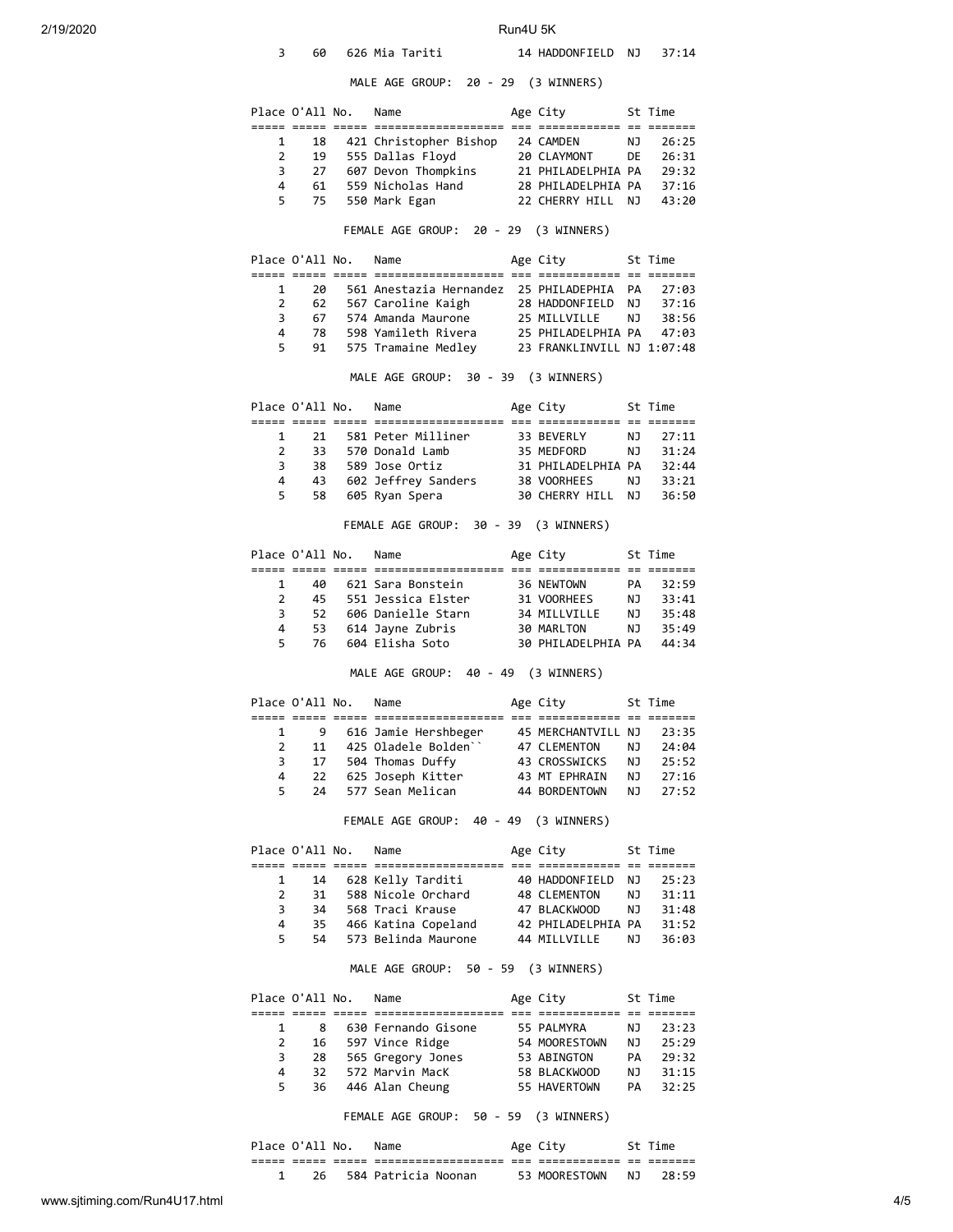| 2/19/2020 | 3              | 60              | 626 Mia Tariti                                                             | Run4U 5K | 14 HADDONFIELD NJ                                |          | 37:14                                     |
|-----------|----------------|-----------------|----------------------------------------------------------------------------|----------|--------------------------------------------------|----------|-------------------------------------------|
|           |                |                 | MALE AGE GROUP: 20 - 29 (3 WINNERS)                                        |          |                                                  |          |                                           |
|           |                | Place O'All No. | Name                                                                       |          | Age City                                         |          | St Time                                   |
|           |                |                 |                                                                            |          |                                                  |          |                                           |
|           | 1<br>2         | 18<br>19        | 421 Christopher Bishop 24 CAMDEN<br>555 Dallas Floyd                       |          | 20 CLAYMONT                                      | ΝJ<br>DE | 26:25<br>26:31                            |
|           | 3              | 27              | 607 Devon Thompkins                                                        |          | 21 PHILADELPHIA PA                               |          | 29:32                                     |
|           | 4              | 61              | 559 Nicholas Hand                                                          |          | 28 PHILADELPHIA PA                               |          | 37:16                                     |
|           | 5              | 75              | 550 Mark Egan                                                              |          | 22 CHERRY HILL NJ                                |          | 43:20                                     |
|           |                |                 | FEMALE AGE GROUP: 20 - 29 (3 WINNERS)                                      |          |                                                  |          |                                           |
|           |                | Place O'All No. | Name                                                                       |          | Age City                                         |          | St Time                                   |
|           | 1              | 20              | 561 Anestazia Hernandez 25 PHILADEPHIA                                     |          |                                                  | PA       | 27:03                                     |
|           | $\overline{2}$ | 62              | 567 Caroline Kaigh                                                         |          | 28 HADDONFIELD                                   | ΝJ       | 37:16                                     |
|           | 3              | 67              | 574 Amanda Maurone                                                         |          | 25 MILLVILLE                                     | ΝJ       | 38:56                                     |
|           | 4<br>5         | 78<br>91        | 598 Yamileth Rivera<br>575 Tramaine Medley                                 |          | 25 PHILADELPHIA PA<br>23 FRANKLINVILL NJ 1:07:48 |          | 47:03                                     |
|           |                |                 | MALE AGE GROUP: 30 - 39 (3 WINNERS)                                        |          |                                                  |          |                                           |
|           |                | Place O'All No. | Name                                                                       |          | Age City                                         |          | St Time                                   |
|           | 1              | 21              | 581 Peter Milliner                                                         |          | 33 BEVERLY                                       | ΝJ       | 27:11                                     |
|           | $\overline{2}$ | 33              | 570 Donald Lamb                                                            |          | 35 MEDFORD                                       | ΝJ       | 31:24                                     |
|           | 3              | 38              | 589 Jose Ortiz                                                             |          | 31 PHILADELPHIA PA                               |          | 32:44                                     |
|           | 4              | 43              | 602 Jeffrey Sanders                                                        |          | 38 VOORHEES                                      | ΝJ       | 33:21                                     |
|           | 5              | 58              | 605 Ryan Spera                                                             |          | 30 CHERRY HILL NJ                                |          | 36:50                                     |
|           |                |                 | FEMALE AGE GROUP: 30 - 39 (3 WINNERS)                                      |          |                                                  |          |                                           |
|           |                | Place O'All No. | Name<br><u> 2222 2222 2222 2222211122211112121 22</u> 22211121212 22 23221 |          | Age City                                         |          | St Time                                   |
|           | 1              | 40              | 621 Sara Bonstein                                                          |          | 36 NEWTOWN                                       | PA       | 32:59                                     |
|           | $\overline{2}$ | 45              | 551 Jessica Elster                                                         |          | 31 VOORHEES                                      | ΝJ       | 33:41                                     |
|           | 3              | 52              | 606 Danielle Starn                                                         |          | 34 MILLVILLE                                     | ΝJ       | 35:48                                     |
|           | 4<br>5         | 53<br>76        | 614 Jayne Zubris<br>604 Elisha Soto                                        |          | 30 MARLTON<br>30 PHILADELPHIA PA                 | ΝJ       | 35:49<br>44:34                            |
|           |                |                 | MALE AGE GROUP: 40 - 49 (3 WINNERS)                                        |          |                                                  |          |                                           |
|           |                | Place O'All No. | Name                                                                       |          | Age City                                         |          | St Time                                   |
|           | 1              | 9               | 616 Jamie Hershbeger                                                       |          | 45 MERCHANTVILL NJ                               |          | 23:35                                     |
|           | $\overline{2}$ | 11              | 425 Oladele Bolden``                                                       |          | 47 CLEMENTON                                     | ΝJ       | 24:04                                     |
|           | 3              | 17              | 504 Thomas Duffy                                                           |          | 43 CROSSWICKS                                    | ΝJ       | 25:52                                     |
|           | 4              | 22              | 625 Joseph Kitter                                                          |          | 43 MT EPHRAIN                                    | ΝJ       | 27:16                                     |
|           | 5.             | 24              | 577 Sean Melican                                                           |          | 44 BORDENTOWN                                    | ΝJ       | 27:52                                     |
|           |                |                 | FEMALE AGE GROUP: 40 - 49 (3 WINNERS)                                      |          |                                                  |          |                                           |
|           |                |                 |                                                                            |          |                                                  |          | St Time                                   |
|           |                | Place O'All No. | Name                                                                       |          | Age City                                         |          |                                           |
|           | 1              | 14              | 628 Kelly Tarditi                                                          |          | 40 HADDONFIELD                                   | ΝJ       |                                           |
|           | $\overline{2}$ | 31              | 588 Nicole Orchard                                                         |          | 48 CLEMENTON                                     | ΝJ       |                                           |
|           | 3              | 34              | 568 Traci Krause                                                           |          | 47 BLACKWOOD                                     | ΝJ       |                                           |
|           | 4              | 35              | 466 Katina Copeland                                                        |          | 42 PHILADELPHIA PA                               |          |                                           |
|           | 5              | 54              | 573 Belinda Maurone                                                        |          | 44 MILLVILLE                                     | ΝJ       | 25:23<br>31:11<br>31:48<br>31:52<br>36:03 |
|           |                |                 | MALE AGE GROUP: 50 - 59 (3 WINNERS)                                        |          |                                                  |          |                                           |
|           |                | Place O'All No. | Name<br>===== ===== ===== ============                                     |          | Age City<br>======= === ============ == =======  |          | St Time                                   |
|           | 1              | 8               | 630 Fernando Gisone                                                        |          | 55 PALMYRA                                       | ΝJ       |                                           |
|           | 2              | 16              | 597 Vince Ridge                                                            |          | 54 MOORESTOWN                                    | ΝJ       |                                           |
|           | 3              | 28              | 565 Gregory Jones                                                          |          | 53 ABINGTON                                      | PA       |                                           |
|           | 4<br>5         | 32              | 572 Marvin MacK<br>446 Alan Cheung                                         |          | 58 BLACKWOOD                                     | ΝJ       | 23:23<br>25:29<br>29:32<br>31:15          |

FEMALE AGE GROUP: 50 - 59 (3 WINNERS)

|              | Place O'All No. |                | Name                                   |            | Age City      |            | ™e                 |  |
|--------------|-----------------|----------------|----------------------------------------|------------|---------------|------------|--------------------|--|
| ----<br>---- | ___<br>_____    | -----<br>_____ | ------------------<br>________________ | ___<br>___ | __________    | $-$<br>$-$ | _______<br>_______ |  |
|              |                 |                | 584 Patricia Noonan                    |            | 53 MOORESTOWN | NJ.        | 78.59              |  |